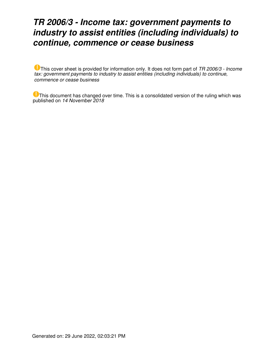# *TR 2006/3 - Income tax: government payments to industry to assist entities (including individuals) to continue, commence or cease business*

This cover sheet is provided for information only. It does not form part of *TR 2006/3 - Income tax: government payments to industry to assist entities (including individuals) to continue, commence or cease business*

This document has changed over time. This is a consolidated version of the ruling which was published on *14 November 2018*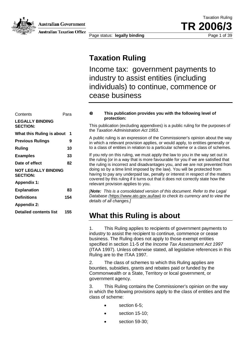

**Australian Government** 

**Australian Taxation Office** 

Page status: **legally binding** Page 1 of 39

Taxation Ruling TR 200

### **Taxation Ruling**

Income tax: government payments to industry to assist entities (including individuals) to continue, commence or cease business

### Contents Para **LEGALLY BINDING SECTION: What this Ruling is about 1 Previous Rulings 9 Ruling 10 Examples 33 Date of effect 82 NOT LEGALLY BINDING SECTION: Appendix 1: Explanation 83 Definitions 154 Appendix 2: Detailed contents list 155**

#### **This publication provides you with the following level of**  O **protection:**

This publication (excluding appendixes) is a public ruling for the purposes of the *Taxation Administration Act 1953*.

A public ruling is an expression of the Commissioner's opinion about the way in which a relevant provision applies, or would apply, to entities generally or to a class of entities in relation to a particular scheme or a class of schemes.

If you rely on this ruling, we must apply the law to you in the way set out in the ruling (or in a way that is more favourable for you if we are satisfied that the ruling is incorrect and disadvantages you, and we are not prevented from doing so by a time limit imposed by the law). You will be protected from having to pay any underpaid tax, penalty or interest in respect of the matters covered by this ruling if it turns out that it does not correctly state how the relevant provision applies to you.

*[Note: This is a consolidated version of this document. Refer to the Legal Database (*https://www.ato.gov.au/law) *to check its currency and to view the details of all changes.]*

### **What this Ruling is about**

1. This Ruling applies to recipients of government payments to industry to assist the recipient to continue, commence or cease business. The Ruling does not apply to those exempt entities specified in section 11-5 of the *Income Tax Assessment Act 1997*  (ITAA 1997). Unless otherwise stated, all legislative references in this Ruling are to the ITAA 1997.

2. The class of schemes to which this Ruling applies are bounties, subsidies, grants and rebates paid or funded by the Commonwealth or a State, Territory or local government, or government agency.

3. This Ruling contains the Commissioner's opinion on the way in which the following provisions apply to the class of entities and the class of scheme:

- section 6-5:
- section 15-10:
- section 59-30;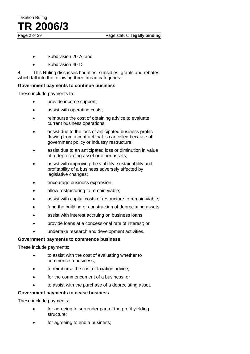

Page status: legally binding

- Subdivision 20-A; and
- Subdivision 40-D.

4. This Ruling discusses bounties, subsidies, grants and rebates which fall into the following three broad categories:

### **Government payments to continue business**

These include payments to:

- provide income support;
- assist with operating costs;
- reimburse the cost of obtaining advice to evaluate current business operations;
- assist due to the loss of anticipated business profits flowing from a contract that is cancelled because of government policy or industry restructure;
- assist due to an anticipated loss or diminution in value of a depreciating asset or other assets;
- assist with improving the viability, sustainability and profitability of a business adversely affected by legislative changes:
- encourage business expansion;
- allow restructuring to remain viable;
- assist with capital costs of restructure to remain viable;
- fund the building or construction of depreciating assets;
- assist with interest accruing on business loans;
- provide loans at a concessional rate of interest; or
- undertake research and development activities.

### **Government payments to commence business**

These include payments:

- to assist with the cost of evaluating whether to commence a business;
- to reimburse the cost of taxation advice;
- for the commencement of a business; or
- to assist with the purchase of a depreciating asset.

### **Government payments to cease business**

These include payments:

- for agreeing to surrender part of the profit yielding structure;
- for agreeing to end a business;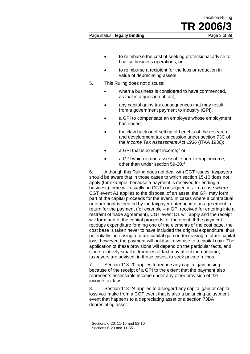- to reimburse the cost of seeking professional advice to finalise business operations; or
- to reimburse a recipient for the loss or reduction in value of depreciating assets.
- 5. This Ruling does not discuss:
	- when a business is considered to have commenced, as that is a question of fact;
	- any capital gains tax consequences that may result from a government payment to industry (GPI);
	- a GPI to compensate an employee whose employment has ended;
	- the claw back or offsetting of benefits of the research and development tax concession under section 73C of the *Income Tax Assessment Act 1936* (ITAA 1936);
	- $\bullet$  a GPI that is exempt income;<sup>1</sup> or
	- a GPI which is non-assessable non-exempt income, other than under section  $59-30.<sup>2</sup>$

6. Although this Ruling does not deal with CGT issues, taxpayers should be aware that in those cases to which section 15-10 does not apply (for example, because a payment is received for ending a business) there will usually be CGT consequences. In a case where CGT event A1 applies to the disposal of an asset, the GPI may form part of the capital proceeds for the event. In cases where a contractual or other right is created by the taxpayer entering into an agreement in return for the payment (for example – a GPI received for entering into a restraint of trade agreement), CGT event D1 will apply and the receipt will form part of the capital proceeds for the event. If the payment recoups expenditure forming one of the elements of the cost base, the cost base is taken never to have included the original expenditure, thus potentially increasing a future capital gain or decreasing a future capital loss; however, the payment will not itself give rise to a capital gain. The application of these provisions will depend on the particular facts, and since relatively small differences of fact may affect the outcome, taxpayers are advised, in these cases, to seek private rulings.

7. Section 118-20 applies to reduce any capital gain arising because of the receipt of a GPI to the extent that the payment also represents assessable income under any other provision of the income tax law.

8. Section 118-24 applies to disregard any capital gain or capital loss you make from a CGT event that is also a balancing adjustment event that happens to a depreciating asset or a section 73BA depreciating asset.

 $1$  Sections 6-20, 11-10 and 53-10.

 $2$  Sections 6-23 and 11-55.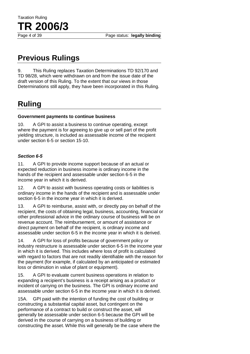# **Previous Rulings**

9. This Ruling replaces Taxation Determinations TD 92/170 and TD 98/28, which were withdrawn on and from the issue date of the draft version of this Ruling. To the extent that our views in those Determinations still apply, they have been incorporated in this Ruling.

# **Ruling**

### **Government payments to continue business**

10. A GPI to assist a business to continue operating, except where the payment is for agreeing to give up or sell part of the profit yielding structure, is included as assessable income of the recipient under section 6-5 or section 15-10.

### *Section 6-5*

11. A GPI to provide income support because of an actual or expected reduction in business income is ordinary income in the hands of the recipient and assessable under section 6-5 in the income year in which it is derived.

12. A GPI to assist with business operating costs or liabilities is ordinary income in the hands of the recipient and is assessable under section 6-5 in the income year in which it is derived.

13. A GPI to reimburse, assist with, or directly pay on behalf of the recipient, the costs of obtaining legal, business, accounting, financial or other professional advice in the ordinary course of business will be on revenue account. The reimbursement, or amount of assistance or direct payment on behalf of the recipient, is ordinary income and assessable under section 6-5 in the income year in which it is derived.

14. A GPI for loss of profits because of government policy or industry restructure is assessable under section 6-5 in the income year in which it is derived. This includes where loss of profit is calculated with regard to factors that are not readily identifiable with the reason for the payment (for example, if calculated by an anticipated or estimated loss or diminution in value of plant or equipment).

15. A GPI to evaluate current business operations in relation to expanding a recipient's business is a receipt arising as a product or incident of carrying on the business. The GPI is ordinary income and assessable under section 6-5 in the income year in which it is derived.

15A. GPI paid with the intention of funding the cost of building or constructing a substantial capital asset, but contingent on the performance of a contract to build or construct the asset, will generally be assessable under section 6-5 because the GPI will be derived in the course of carrying on a business of building or constructing the asset. While this will generally be the case where the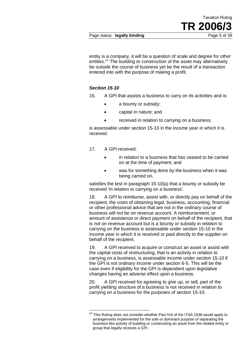entity is a company, it will be a question of scale and degree for other entities.<sup>2A</sup> The building or construction of the asset may alternatively be outside the course of business yet be the result of a transaction entered into with the purpose of making a profit.

### *Section 15-10*

16. A GPI that assists a business to carry on its activities and is:

- a bounty or subsidy;
- capital in nature; and
- received in relation to carrying on a business.

is assessable under section 15-10 in the income year in which it is received.

- 17. A GPI received:
	- in relation to a business that has ceased to be carried on at the time of payment; and
	- was for something done by the business when it was being carried on,

satisfies the test in paragraph 15-10(a) that a bounty or subsidy be received 'in relation to carrying on a business'.

18. A GPI to reimburse, assist with, or directly pay on behalf of the recipient, the costs of obtaining legal, business, accounting, financial or other professional advice that are not in the ordinary course of business will not be on revenue account. A reimbursement, or amount of assistance or direct payment on behalf of the recipient, that is not on revenue account but is a bounty or subsidy in relation to carrying on the business is assessable under section 15-10 in the income year in which it is received or paid directly to the supplier on behalf of the recipient.

19. A GPI received to acquire or construct an asset or assist with the capital costs of restructuring, that is an activity in relation to carrying on a business, is assessable income under section 15-10 if the GPI is not ordinary income under section 6-5. This will be the case even if eligibility for the GPI is dependent upon legislative changes having an adverse effect upon a business.

20. A GPI received for agreeing to give up, or sell, part of the profit yielding structure of a business is not received in relation to carrying on a business for the purposes of section 15-10.

<sup>&</sup>lt;sup>2A</sup> This Ruling does not consider whether Part IVA of the ITAA 1936 would apply to arrangements implemented for the sole or dominant purpose of separating the business-like activity of building or constructing an asset from the related entity or group that legally receives a GPI.  $\overline{\phantom{a}}$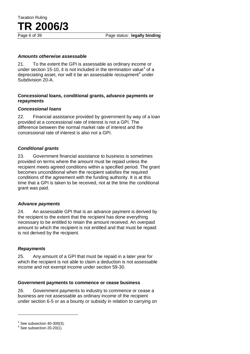### *Amounts otherwise assessable*

21. To the extent the GPI is assessable as ordinary income or under section 15-10, it is not included in the termination value<sup>3</sup> of a depreciating asset, nor will it be an assessable recoupment<sup>4</sup> under Subdivision 20-A.

### **Concessional loans, conditional grants, advance payments or repayments**

### *Concessional loans*

22. Financial assistance provided by government by way of a loan provided at a concessional rate of interest is not a GPI. The difference between the normal market rate of interest and the concessional rate of interest is also not a GPI.

### *Conditional grants*

23. Government financial assistance to business is sometimes provided on terms where the amount must be repaid unless the recipient meets agreed conditions within a specified period. The grant becomes unconditional when the recipient satisfies the required conditions of the agreement with the funding authority. It is at this time that a GPI is taken to be received, not at the time the conditional grant was paid.

### *Advance payments*

24. An assessable GPI that is an advance payment is derived by the recipient to the extent that the recipient has done everything necessary to be entitled to retain the amount received. An overpaid amount to which the recipient is not entitled and that must be repaid is not derived by the recipient.

### *Repayments*

25. Any amount of a GPI that must be repaid in a later year for which the recipient is not able to claim a deduction is not assessable income and not exempt income under section 59-30.

### **Government payments to commence or cease business**

26. Government payments to industry to commence or cease a business are not assessable as ordinary income of the recipient under section 6-5 or as a bounty or subsidy in relation to carrying on

 $\overline{a}$ 

 $3$  See subsection 40-300(3).<br> $4$  See subsection 20-20(1).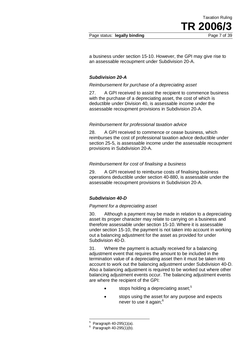Page status: **legally binding** Page 7 of 39

a business under section 15-10. However, the GPI may give rise to an assessable recoupment under Subdivision 20-A.

### *Subdivision 20-A*

### *Reimbursement for purchase of a depreciating asset*

27. A GPI received to assist the recipient to commence business with the purchase of a depreciating asset, the cost of which is deductible under Division 40, is assessable income under the assessable recoupment provisions in Subdivision 20-A.

### *Reimbursement for professional taxation advice*

28. A GPI received to commence or cease business, which reimburses the cost of professional taxation advice deductible under section 25-5, is assessable income under the assessable recoupment provisions in Subdivision 20-A.

### *Reimbursement for cost of finalising a business*

29. A GPI received to reimburse costs of finalising business operations deductible under section 40-880, is assessable under the assessable recoupment provisions in Subdivision 20-A.

### *Subdivision 40-D*

### *Payment for a depreciating asset*

30. Although a payment may be made in relation to a depreciating asset its proper character may relate to carrying on a business and therefore assessable under section 15-10. Where it is assessable under section 15-10, the payment is not taken into account in working out a balancing adjustment for the asset as provided for under Subdivision 40-D.

31. Where the payment is actually received for a balancing adjustment event that requires the amount to be included in the termination value of a depreciating asset then it must be taken into account to work out the balancing adjustment under Subdivision 40-D. Also a balancing adjustment is required to be worked out where other balancing adjustment events occur. The balancing adjustment events are where the recipient of the GPI:

- stops holding a depreciating asset; $5$
- stops using the asset for any purpose and expects never to use it again:<sup>6</sup>

<sup>&</sup>lt;sup>5</sup> Paragraph 40-295(1)(a).  $\overline{a}$ 

 $6 \text{ Paragraph } 40-295(1)(b).$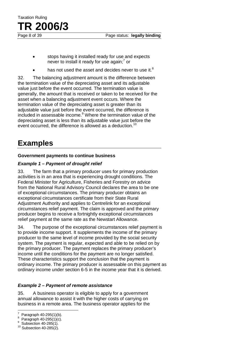- stops having it installed ready for use and expects never to install it ready for use again;<sup>7</sup> or
- has not used the asset and decides never to use it. $8$

32. The balancing adjustment amount is the difference between the termination value of the depreciating asset and its adjustable value just before the event occurred. The termination value is generally, the amount that is received or taken to be received for the asset when a balancing adjustment event occurs. Where the termination value of the depreciating asset is greater than its adjustable value just before the event occurred, the difference is included in assessable income.<sup>9</sup> Where the termination value of the depreciating asset is less than its adjustable value just before the event occurred, the difference is allowed as a deduction.<sup>10</sup>

### **Examples**

### **Government payments to continue business**

### *Example 1 – Payment of drought relief*

33. The farm that a primary producer uses for primary production activities is in an area that is experiencing drought conditions. The Federal Minister for Agriculture, Fisheries and Forestry on advice from the National Rural Advisory Council declares the area to be one of exceptional circumstances. The primary producer obtains an exceptional circumstances certificate from their State Rural Adjustment Authority and applies to Centrelink for an exceptional circumstances relief payment. The claim is approved and the primary producer begins to receive a fortnightly exceptional circumstances relief payment at the same rate as the Newstart Allowance.

34. The purpose of the exceptional circumstances relief payment is to provide income support. It supplements the income of the primary producer to the same level of income provided by the social security system. The payment is regular, expected and able to be relied on by the primary producer. The payment replaces the primary producer's income until the conditions for the payment are no longer satisfied. These characteristics support the conclusion that the payment is ordinary income. The primary producer is assessable on this payment as ordinary income under section 6-5 in the income year that it is derived.

### *Example 2 – Payment of remote assistance*

35. A business operator is eligible to apply for a government annual allowance to assist it with the higher costs of carrying on business in a remote area. The business operator applies for the

<sup>-&</sup>lt;br>7 Paragraph 40-295(1)(b).

Paragraph  $40-295(1)(c)$ .<br>Subsection  $40-285(1)$ .

 $10$  Subsection 40-285(2).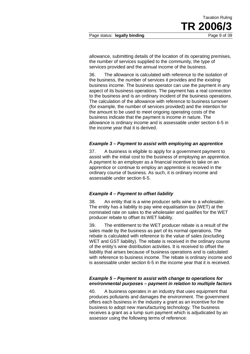Page status: **legally binding Page 9 of 39** 

allowance, submitting details of the location of its operating premises, the number of services supplied to the community, the type of services provided and the annual income of the business.

36. The allowance is calculated with reference to the isolation of the business, the number of services it provides and the existing business income. The business operator can use the payment in any aspect of its business operations. The payment has a real connection to the business and is an ordinary incident of the business operations. The calculation of the allowance with reference to business turnover (for example, the number of services provided) and the intention for the amount to be used to meet ongoing operating costs of the business indicate that the payment is income in nature. The allowance is ordinary income and is assessable under section 6-5 in the income year that it is derived.

### *Example 3 – Payment to assist with employing an apprentice*

37. A business is eligible to apply for a government payment to assist with the initial cost to the business of employing an apprentice. A payment to an employer as a financial incentive to take on an apprentice or continue to employ an apprentice is received in the ordinary course of business. As such, it is ordinary income and assessable under section 6-5.

### *Example 4 – Payment to offset liability*

38. An entity that is a wine producer sells wine to a wholesaler. The entity has a liability to pay wine equalisation tax (WET) at the nominated rate on sales to the wholesaler and qualifies for the WET producer rebate to offset its WET liability.

39. The entitlement to the WET producer rebate is a result of the sales made by the business as part of its normal operations. The rebate is calculated with reference to the value of sales (excluding WET and GST liability). The rebate is received in the ordinary course of the entity's wine distribution activities. It is received to offset the liability that arises because of business operations and is calculated with reference to business income. The rebate is ordinary income and is assessable under section 6-5 in the income year that it is received.

### *Example 5 – Payment to assist with change to operations for environmental purposes – payment in relation to multiple factors*

40. A business operates in an industry that uses equipment that produces pollutants and damages the environment. The government offers each business in the industry a grant as an incentive for the business to adopt new manufacturing technology. The business receives a grant as a lump sum payment which is adjudicated by an assessor using the following terms of reference: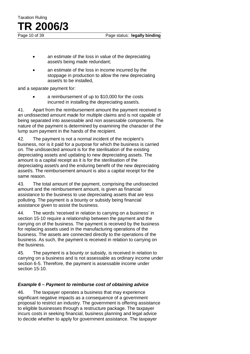- an estimate of the loss in value of the depreciating asset/s being made redundant;
- an estimate of the loss in income incurred by the stoppage in production to allow the new depreciating asset/s to be installed,

and a separate payment for:

Taxation Ruling

**TR 2006/3**

a reimbursement of up to \$10,000 for the costs incurred in installing the depreciating asset/s.

41. Apart from the reimbursement amount the payment received is an undissected amount made for multiple claims and is not capable of being separated into assessable and non assessable components. The nature of the payment is determined by examining the character of the lump sum payment in the hands of the recipient.

42. The payment is not a normal incident of the recipient's business, nor is it paid for a purpose for which the business is carried on. The undissected amount is for the sterilisation of the existing depreciating assets and updating to new depreciating assets. The amount is a capital receipt as it is for the sterilisation of the depreciating asset/s and the enduring benefit of the new depreciating asset/s. The reimbursement amount is also a capital receipt for the same reason.

43. The total amount of the payment, comprising the undissected amount and the reimbursement amount, is given as financial assistance to the business to use depreciating assets that are less polluting. The payment is a bounty or subsidy being financial assistance given to assist the business.

44. The words 'received in relation to carrying on a business' in section 15-10 require a relationship between the payment and the carrying on of the business. The payment is received by the business for replacing assets used in the manufacturing operations of the business. The assets are connected directly to the operations of the business. As such, the payment is received in relation to carrying on the business.

45. The payment is a bounty or subsidy, is received in relation to carrying on a business and is not assessable as ordinary income under section 6-5. Therefore, the payment is assessable income under section 15-10.

### *Example 6 – Payment to reimburse cost of obtaining advice*

46. The taxpayer operates a business that may experience significant negative impacts as a consequence of a government proposal to restrict an industry. The government is offering assistance to eligible businesses through a restructure package. The taxpayer incurs costs in seeking financial, business planning and legal advice to decide whether to apply for government assistance. The taxpayer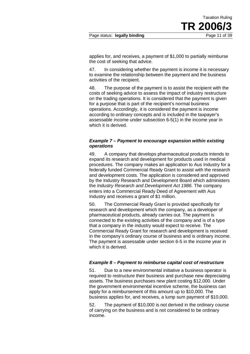Page status: **legally binding** Page 11 of 39

applies for, and receives, a payment of \$1,000 to partially reimburse the cost of seeking that advice.

47. In considering whether the payment is income it is necessary to examine the relationship between the payment and the business activities of the recipient.

48. The purpose of the payment is to assist the recipient with the costs of seeking advice to assess the impact of industry restructure on the trading operations. It is considered that the payment is given for a purpose that is part of the recipient's normal business operations. Accordingly, it is considered the payment is income according to ordinary concepts and is included in the taxpayer's assessable income under subsection 6-5(1) in the income year in which it is derived.

### *Example 7 – Payment to encourage expansion within existing operations*

49. A company that develops pharmaceutical products intends to expand its research and development for products used in medical procedures. The company makes an application to Aus Industry for a federally funded Commercial Ready Grant to assist with the research and development costs. The application is considered and approved by the Industry Research and Development Board which administers the *Industry Research and Development Act 1986*. The company enters into a Commercial Ready Deed of Agreement with Aus Industry and receives a grant of \$1 million.

50. The Commercial Ready Grant is provided specifically for research and development which the company, as a developer of pharmaceutical products, already carries out. The payment is connected to the existing activities of the company and is of a type that a company in the industry would expect to receive. The Commercial Ready Grant for research and development is received in the company's ordinary course of business and is ordinary income. The payment is assessable under section 6-5 in the income year in which it is derived.

### *Example 8 – Payment to reimburse capital cost of restructure*

51. Due to a new environmental initiative a business operator is required to restructure their business and purchase new depreciating assets. The business purchases new plant costing \$12,000. Under the government environmental incentive scheme, the business can apply for a reimbursement of this amount up to \$10,000. The business applies for, and receives, a lump sum payment of \$10,000.

52. The payment of \$10,000 is not derived in the ordinary course of carrying on the business and is not considered to be ordinary income.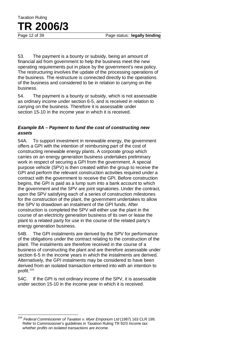53. The payment is a bounty or subsidy, being an amount of financial aid from government to help the business meet the new operating requirements put in place by the government's new policy. The restructuring involves the update of the processing operations of the business. The restructure is connected directly to the operations of the business and considered to be in relation to carrying on the business.

54. The payment is a bounty or subsidy, which is not assessable as ordinary income under section 6-5, and is received in relation to carrying on the business. Therefore it is assessable under section 15-10 in the income year in which it is received.

### *Example 8A – Payment to fund the cost of constructing new assets*

54A. To support investment in renewable energy, the government offers a GPI with the intention of reimbursing part of the cost of constructing renewable energy plants. A corporate group which carries on an energy generation business undertakes preliminary work in respect of securing a GPI from the government. A special purpose vehicle (SPV) is then created within the group to receive the GPI and perform the relevant construction activities required under a contract with the government to receive the GPI. Before construction begins, the GPI is paid as a lump sum into a bank account to which the government and the SPV are joint signatories. Under the contract, upon the SPV satisfying each of a series of construction milestones for the construction of the plant, the government undertakes to allow the SPV to drawdown an instalment of the GPI funds. After construction is completed the SPV will either use the plant in the course of an electricity generation business of its own or lease the plant to a related party for use in the course of the related party's energy generation business.

54B. The GPI instalments are derived by the SPV for performance of the obligations under the contract relating to the construction of the plant. The instalments are therefore received in the course of a business of constructing the plant and are therefore assessable under section 6-5 in the income years in which the instalments are derived. Alternatively, the GPI instalments may be considered to have been derived from an isolated transaction entered into with an intention to profit.<sup>10A</sup>

54C. If the GPI is not ordinary income of the SPV, it is assessable under section 15-10 in the income year in which it is received.

<sup>10</sup>A *Federal Commissioner of Taxation v. Myer Emporium Ltd* (1987) 163 CLR 199. Refer to Commissioner's guidelines in Taxation Ruling TR 92/3 *Income tax: whether profits on isolated transactions are income*.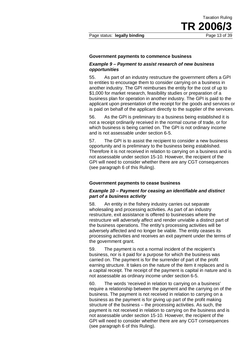#### **Government payments to commence business**

#### *Example 9 – Payment to assist research of new business opportunities*

55. As part of an industry restructure the government offers a GPI to entities to encourage them to consider carrying on a business in another industry. The GPI reimburses the entity for the cost of up to \$1,000 for market research, feasibility studies or preparation of a business plan for operation in another industry. The GPI is paid to the applicant upon presentation of the receipt for the goods and services or is paid on behalf of the applicant directly to the supplier of the services.

56. As the GPI is preliminary to a business being established it is not a receipt ordinarily received in the normal course of trade, or for which business is being carried on. The GPI is not ordinary income and is not assessable under section 6-5.

57. The GPI is to assist the recipient to consider a new business opportunity and is preliminary to the business being established. Therefore it is not received in relation to carrying on a business and is not assessable under section 15-10. However, the recipient of the GPI will need to consider whether there are any CGT consequences (see paragraph 6 of this Ruling).

### **Government payments to cease business**

### *Example 10 – Payment for ceasing an identifiable and distinct part of a business activity*

58. An entity in the fishery industry carries out separate wholesaling and processing activities. As part of an industry restructure, exit assistance is offered to businesses where the restructure will adversely affect and render unviable a distinct part of the business operations. The entity's processing activities will be adversely affected and no longer be viable. The entity ceases its processing activities and receives an exit payment under the terms of the government grant.

59. The payment is not a normal incident of the recipient's business, nor is it paid for a purpose for which the business was carried on. The payment is for the surrender of part of the profit earning structure. It takes on the nature of the item it replaces and is a capital receipt. The receipt of the payment is capital in nature and is not assessable as ordinary income under section 6-5.

60. The words 'received in relation to carrying on a business' require a relationship between the payment and the carrying on of the business. The payment is not received in relation to carrying on a business as the payment is for giving up part of the profit making structure of the business – the processing activities. As such, the payment is not received in relation to carrying on the business and is not assessable under section 15-10. However, the recipient of the GPI will need to consider whether there are any CGT consequences (see paragraph 6 of this Ruling).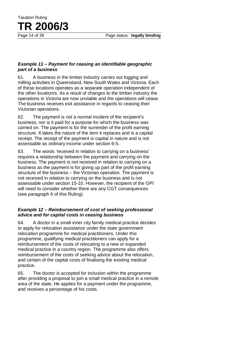### *Example 11 – Payment for ceasing an identifiable geographic part of a business*

Taxation Ruling

**TR 2006/3**

61. A business in the timber industry carries out logging and milling activities in Queensland, New South Wales and Victoria. Each of these locations operates as a separate operation independent of the other location/s. As a result of changes to the timber industry the operations in Victoria are now unviable and the operations will cease. The business receives exit assistance in regards to ceasing their Victorian operations.

62. The payment is not a normal incident of the recipient's business, nor is it paid for a purpose for which the business was carried on. The payment is for the surrender of the profit earning structure. It takes the nature of the item it replaces and is a capital receipt. The receipt of the payment is capital in nature and is not assessable as ordinary income under section 6-5.

63. The words 'received in relation to carrying on a business' requires a relationship between the payment and carrying on the business. The payment is not received in relation to carrying on a business as the payment is for giving up part of the profit earning structure of the business – the Victorian operation. The payment is not received in relation to carrying on the business and is not assessable under section 15-10. However, the recipient of the GPI will need to consider whether there are any CGT consequences (see paragraph 6 of this Ruling).

### *Example 12 – Reimbursement of cost of seeking professional advice and for capital costs in ceasing business*

64. A doctor in a small inner city family medical practice decides to apply for relocation assistance under the state government relocation programme for medical practitioners. Under this programme, qualifying medical practitioners can apply for a reimbursement of the costs of relocating to a new or expanded medical practice in a country region. The programme also offers reimbursement of the costs of seeking advice about the relocation, and certain of the capital costs of finalising the existing medical practice.

65. The doctor is accepted for inclusion within the programme after providing a proposal to join a small medical practice in a remote area of the state. He applies for a payment under the programme, and receives a percentage of his costs.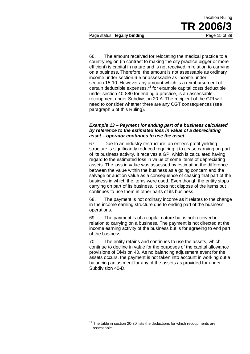Page status: **legally binding** Page 15 of 39

66. The amount received for relocating the medical practice to a country region (in contrast to making the city practice bigger or more efficient) is capital in nature and is not received in relation to carrying on a business. Therefore, the amount is not assessable as ordinary income under section 6-5 or assessable as income under section 15-10. However any amount which is a reimbursement of certain deductible expenses, $11$  for example capital costs deductible under section 40-880 for ending a practice, is an assessable recoupment under Subdivision 20-A. The recipient of the GPI will need to consider whether there are any CGT consequences (see paragraph 6 of this Ruling).

### *Example 13 – Payment for ending part of a business calculated by reference to the estimated loss in value of a depreciating asset – operator continues to use the asset*

67. Due to an industry restructure, an entity's profit yielding structure is significantly reduced requiring it to cease carrying on part of its business activity. It receives a GPI which is calculated having regard to the estimated loss in value of some items of depreciating assets. The loss in value was assessed by estimating the difference between the value within the business as a going concern and the salvage or auction value as a consequence of ceasing that part of the business in which the items were used. Even though the entity stops carrying on part of its business, it does not dispose of the items but continues to use them in other parts of its business.

68. The payment is not ordinary income as it relates to the change in the income earning structure due to ending part of the business operations.

69. The payment is of a capital nature but is not received in relation to carrying on a business. The payment is not directed at the income earning activity of the business but is for agreeing to end part of the business.

70. The entity retains and continues to use the assets, which continue to decline in value for the purposes of the capital allowance provisions of Division 40. As no balancing adjustment event for the assets occurs, the payment is not taken into account in working out a balancing adjustment for any of the assets as provided for under Subdivision 40-D.

 $11$  The table in section 20-30 lists the deductions for which recoupments are assessable.  $\overline{a}$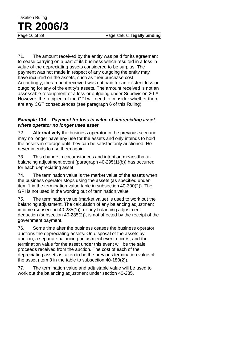71. The amount received by the entity was paid for its agreement to cease carrying on a part of its business which resulted in a loss in value of the depreciating assets considered to be surplus. The payment was not made in respect of any outgoing the entity may have incurred on the assets, such as their purchase cost. Accordingly, the amount received was not paid for an existent loss or outgoing for any of the entity's assets. The amount received is not an assessable recoupment of a loss or outgoing under Subdivision 20-A. However, the recipient of the GPI will need to consider whether there are any CGT consequences (see paragraph 6 of this Ruling).

### *Example 13A – Payment for loss in value of depreciating asset where operator no longer uses asset*

72. **Alternatively** the business operator in the previous scenario may no longer have any use for the assets and only intends to hold the assets in storage until they can be satisfactorily auctioned. He never intends to use them again.

73. This change in circumstances and intention means that a balancing adjustment event (paragraph 40-295(1)(b)) has occurred for each depreciating asset.

74. The termination value is the market value of the assets when the business operator stops using the assets (as specified under item 1 in the termination value table in subsection 40-300(2)). The GPI is not used in the working out of termination value.

75. The termination value (market value) is used to work out the balancing adjustment. The calculation of any balancing adjustment income (subsection 40-285(1)), or any balancing adjustment deduction (subsection 40-285(2)), is not affected by the receipt of the government payment.

76. Some time after the business ceases the business operator auctions the depreciating assets. On disposal of the assets by auction, a separate balancing adjustment event occurs, and the termination value for the asset under this event will be the sale proceeds received from the auction. The cost of each of the depreciating assets is taken to be the previous termination value of the asset (item 3 in the table to subsection 40-180(2)).

77. The termination value and adjustable value will be used to work out the balancing adjustment under section 40-285.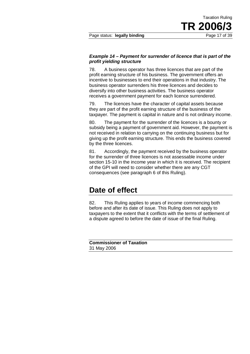Page status: **legally binding** Page 17 of 39

### *Example 14 – Payment for surrender of licence that is part of the profit yielding structure*

78. A business operator has three licences that are part of the profit earning structure of his business. The government offers an incentive to businesses to end their operations in that industry. The business operator surrenders his three licences and decides to diversify into other business activities. The business operator receives a government payment for each licence surrendered.

79. The licences have the character of capital assets because they are part of the profit earning structure of the business of the taxpayer. The payment is capital in nature and is not ordinary income.

80. The payment for the surrender of the licences is a bounty or subsidy being a payment of government aid. However, the payment is not received in relation to carrying on the continuing business but for giving up the profit earning structure. This ends the business covered by the three licences.

81. Accordingly, the payment received by the business operator for the surrender of three licences is not assessable income under section 15-10 in the income year in which it is received. The recipient of the GPI will need to consider whether there are any CGT consequences (see paragraph 6 of this Ruling).

### **Date of effect**

82. This Ruling applies to years of income commencing both before and after its date of issue. This Ruling does not apply to taxpayers to the extent that it conflicts with the terms of settlement of a dispute agreed to before the date of issue of the final Ruling.

**Commissioner of Taxation** 31 May 2006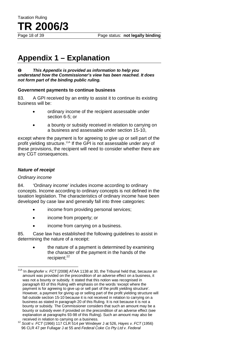Page 18 of 39 Page status: **not legally binding**

# **Appendix 1 – Explanation**

#### $\bullet$ *This Appendix is provided as information to help you understand how the Commissioner's view has been reached. It does not form part of the binding public ruling.*

### **Government payments to continue business**

83. A GPI received by an entity to assist it to continue its existing business will be:

- ordinary income of the recipient assessable under section 6-5; or
- a bounty or subsidy received in relation to carrying on a business and assessable under section 15-10,

except where the payment is for agreeing to give up or sell part of the profit yielding structure.<sup>11A</sup> If the GPI is not assessable under any of these provisions, the recipient will need to consider whether there are any CGT consequences.

### *Nature of receipt*

Taxation Ruling

**TR 2006/3**

### *Ordinary income*

 $\overline{1}$ 

84. 'Ordinary income' includes income according to ordinary concepts. Income according to ordinary concepts is not defined in the taxation legislation. The characteristics of ordinary income have been developed by case law and generally fall into three categories:

- income from providing personal services;
- income from property; or
- income from carrying on a business.

85. Case law has established the following guidelines to assist in determining the nature of a receipt:

> • the nature of a payment is determined by examining the character of the payment in the hands of the recipient:<sup>12</sup>

<sup>&</sup>lt;sup>11A</sup> In *Berghofer v. FCT* [2008] ATAA 1138 at 30, the Tribunal held that, because an amount was provided on the precondition of an adverse effect on a business, it was not a bounty or subsidy. It stated that this notion was recognised in paragraph 83 of this Ruling with emphasis on the words 'except where the payment is for agreeing to give up or sell part of the profit yielding structure'. However, a payment for giving up or selling part of the profit yielding structure will fall outside section 15-10 because it is not received in relation to carrying on a business as stated in paragraph 20 of this Ruling. It is not because it is not a bounty or subsidy. The Commissioner considers that such an amount may be a bounty or subsidy even if provided on the precondition of an adverse effect (see explanation at paragraphs 93-98 of this Ruling). Such an amount may also be

received in relation to carrying on a business. <sup>12</sup> *Scott v. FCT* (1966) 117 CLR 514 per Windeyer J at 526, *Hayes v. FCT* (1956) 96 CLR 47 per Fullagar J at 55 and *Federal Coke Co Pty Ltd v. Federal*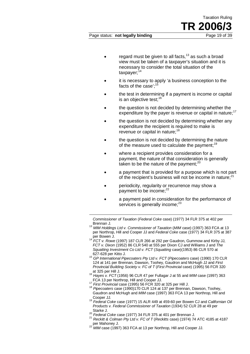### regard must be given to all facts,<sup>13</sup> as such a broad view must be taken of a taxpayer's situation and it is necessary to consider the total situation of the taxpayer;<sup>14</sup>

- it is necessary to apply 'a business conception to the facts of the case': $1$
- the test in determining if a payment is income or capital is an objective test: $16$
- the question is not decided by determining whether the expenditure by the payer is revenue or capital in nature: $17$
- the question is not decided by determining whether any expenditure the recipient is required to make is revenue or capital in nature:<sup>18</sup>
- the question is not decided by determining the nature of the measure used to calculate the payment:  $19$
- where a recipient provides consideration for a payment, the nature of that consideration is generally taken to be the nature of the payment; $^{20}$
- a payment that is provided for a purpose which is not part of the recipient's business will not be income in nature: $21$
- periodicity, regularity or recurrence may show a payment to be income:<sup>22</sup>
- a payment paid in consideration for the performance of services is generally income; $^{23}$

*Commissioner of Taxation* (*Federal Coke* case) (1977) 34 FLR 375 at 402 per

- <sup>13</sup> *MIM Holdings Ltd v. Commissioner of Taxation* (*MIM case*) (1997) 363 FCA at 13 per Northrop, Hill and Cooper JJ and *Federal Coke* case (1977) 34 FLR 375 at 387 per Bowen J. <sup>14</sup> *FCT v. Rowe* (1997) 187 CLR 266 at 292 per Gaudron, Gummow and Kirby JJ,
- *FCT v. Dixon* (1952) 86 CLR 540 at 555 per Dixon CJ and Williams J and *The Squatting Investment Co Ltd v. FCT* (*Squatting* case)(1953) 86 CLR 570 at
- 627-628 per Kitto J. <sup>15</sup> *GP International Pipecoaters Pty Ltd v. FCT* (*Pipecoaters* case) (1990) 170 CLR 124 at 141 per Brennan, Dawson, Toohey, Gaudron and McHugh JJ and *First Provincial Building Society v. FC of T (First Provincial case)* (1995) 56 FCR 320 at 325 per Hill J.
- at 325 per Hill J. <sup>16</sup> *Hayes v. FCT* (1956) 96 CLR 47 per Fullagar J at 55 and *MIM* case (1997) 363
- 

-

- FCA 13 per Northrop, Hill and Cooper JJ. <sup>17</sup> *First Provincial* case (1995) 56 FCR 320 at 325 per Hill J. <sup>18</sup> *Pipecoaters* case (1990)170 CLR 124 at 137 per Brennan, Dawson, Toohey, Gaudron and McHugh and *MIM* case (1997) 363 FCA 13 per Northrop, Hill and<br>Cooper JJ.
- <sup>19</sup> Federal Coke case (1977) 15 ALR 449 at 459-60 per Bowen CJ and Californian Oil *Products v. Federal Commissioner of Taxation* (1934) 52 CLR 28 at 49 per
- 
- <sup>20</sup> *Federal Coke case (1977) 34 FLR 375 at 401 per Brennan J.*<br><sup>21</sup> *Reckitt & Colman Pty Ltd v. FC of T (Reckitts case) (1974) 74 ATC 4185 at 4187*<br>*per Mahoney J.*<br><sup>22</sup> *MIM 2000 (1973) 260 FC i.*
- *MIM* case (1997) 363 FCA at 13 per Northrop, Hill and Cooper JJ.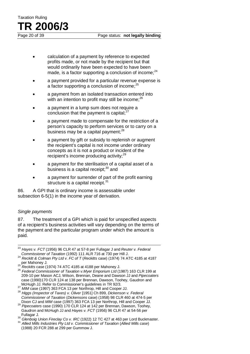- calculation of a payment by reference to expected profits made, or not made by the recipient but that would ordinarily have been expected to have been made, is a factor supporting a conclusion of income; $^{24}$
- a payment provided for a particular revenue expense is a factor supporting a conclusion of income: $^{25}$
- a payment from an isolated transaction entered into with an intention to profit may still be income; $^{26}$
- a payment in a lump sum does not require a conclusion that the payment is capital: $27$
- a payment made to compensate for the restriction of a person's capacity to perform services or to carry on a business may be a capital payment: $^{28}$
- a payment by gift or subsidy to replenish or augment the recipient's capital is not income under ordinary concepts as it is not a product or incident of the recipient's income producing activity;<sup>29</sup>
- a payment for the sterilisation of a capital asset of a business is a capital receipt; $30$  and
- a payment for surrender of part of the profit earning structure is a capital receipt. $31$

86. A GPI that is ordinary income is assessable under subsection 6-5(1) in the income year of derivation.

### *Single payments*

87. The treatment of a GPI which is paid for unspecified aspects of a recipient's business activities will vary depending on the terms of the payment and the particular program under which the amount is paid.

209-10 per Mason ACJ, Wilson, Brennan, Deane and Dawson JJ and *Pipecoaters*  case (1990)170 CLR 124 at 138 per Brennan, Dawson, Toohey, Gaudron and McHuah JJ. Refer to Commissioner's quidelines in TR 92/3.

Hayes *v. FCT* (1956) 96 CLR 47 at 57-8 per Fullagar J and *Reuter v. Federal Commissioner of Taxation* (1992) 111 ALR 716 at 730 per Hill J. 23

<sup>&</sup>lt;sup>24</sup> Reckitt & Colman Pty Ltd v. FC of T (Reckitts case) (1974) 74 ATC 4185 at 4187 per Mahoney J. <sup>25</sup> *Reckitts* case (1974) 74 ATC 4185 at 4188 per Mahoney J. <sup>26</sup> *Federal Commissioner of Taxation v.Myer Emporium Ltd* (1987) 163 CLR 199 at

<sup>27</sup> MIM case (1997) 363 FCA 13 per Northrop, Hill and Cooper JJ.<br><sup>27</sup> MIM case (1997) 363 FCA 13 per Northrop, Hill and Cooper JJ.<br><sup>28</sup> Higgs (Inspector of Taxes) v. Oliver [1951] Ch 899, Dickenson v. Federal

*Commissioner of Taxation* (*Dickensons* case) (1958) 98 CLR 460 at 474-5 per Dixon CJ and *MIM* case (1997) 363 FCA 13 per Northrop, Hill and Cooper JJ. <sup>29</sup> *Pipecoaters* case (1990) 170 CLR 124 at 142 per Brennan, Dawson, Toohey, Gaudron and McHugh JJ and *Hayes v. FCT* (1956) 96 CLR 47 at 54-56 per

<sup>&</sup>lt;sup>30</sup> Glenboig Union Fireclay Co *v. IRC* (1922) 12 TC 427 at 463 per Lord Buckmaster.<br><sup>31</sup> Allied Mills Industries Pty Ltd v. Commissioner of Taxation (Allied Mills case) (1988) 20 FCR 288 at 299 per Gummow J.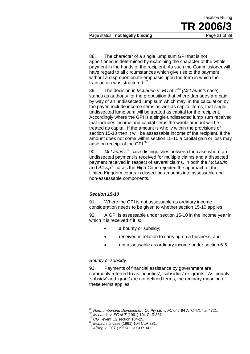88. The character of a single lump sum GPI that is not apportioned is determined by examining the character of the whole payment in the hands of the recipient. As such the Commissioner will have regard to all circumstances which give rise to the payment without a disproportionate emphasis upon the form in which the transaction was structured.<sup>32</sup>

Taxation Ruling

**TR 2006** 

89. The decision in *McLaurin v. FC of T*<sup>33</sup> *(McLaurin's* case) stands as authority for the proposition that where damages are paid by way of an undissected lump sum which may, in the calculation by the payer, include income items as well as capital items, that single undissected lump sum will be treated as capital for the recipient. Accordingly where the GPI is a single undissected lump sum received that includes income and capital items the whole amount will be treated as capital. If the amount is wholly within the provisions of section 15-10 then it will be assessable income of the recipient. If the amount does not come within section 15-10 a capital gain or loss may arise on receipt of the GPI.<sup>34</sup>

90. *McLaurin's*<sup>35</sup> case distinguishes between the case where an undissected payment is received for multiple claims and a dissected payment received in respect of several claims. In both the *McLaurin* and *Allsop*<sup>36</sup> cases the High Court rejected the approach of the United Kingdom courts in dissecting amounts into assessable and non-assessable components.

### *Section 15-10*

91. Where the GPI is not assessable as ordinary income consideration needs to be given to whether section 15-10 applies.

92. A GPI is assessable under section 15-10 in the income year in which it is received if it is:

- a bounty or subsidy;
- received in relation to carrying on a business; and
- not assessable as ordinary income under section 6-5.

### *Bounty or subsidy*

93. Payments of financial assistance by government are commonly referred to as 'bounties', 'subsidies' or 'grants'. As 'bounty', 'subsidy' and 'grant' are not defined terms, the ordinary meaning of these terms applies.

<sup>&</sup>lt;sup>32</sup> Northumberland Development Co Pty Ltd v. FC of T 94 ATC 4717 at 4721.<br><sup>33</sup> McLaurin v. FC of T (1961) 104 CLR 381.<br><sup>34</sup> CGT event C2 section 104-25.<br><sup>35</sup> McLaurin's case (1961) 104 CLR 381.<br><sup>36</sup> Allsop v. FCT (1965)  $\overline{\phantom{a}}$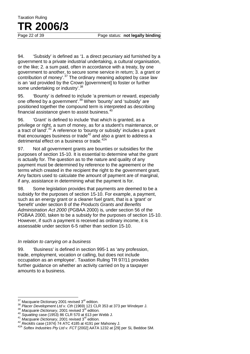94. 'Subsidy' is defined as '1. a direct pecuniary aid furnished by a government to a private industrial undertaking, a cultural organisation, or the like; 2. a sum paid, often in accordance with a treaty, by one government to another, to secure some service in return; 3. a grant or contribution of money'.<sup>37</sup> The ordinary meaning adopted by case law is an 'aid provided by the Crown [government] to foster or further some undertaking or industry'.<sup>38</sup>

95. 'Bounty' is defined to include 'a premium or reward, especially one offered by a government'.<sup>39</sup> When 'bounty' and 'subsidy' are positioned together the compound term is interpreted as describing financial assistance given to assist business. $40$ 

96. 'Grant' is defined to include 'that which is granted, as a privilege or right, a sum of money, as for a student's maintenance, or a tract of land'.<sup>41</sup> A reference to 'bounty or subsidy' includes a grant that encourages business or trade<sup>42</sup> and also a grant to address a detrimental effect on a business or trade.<sup>42A</sup>

97. Not all government grants are bounties or subsidies for the purposes of section 15-10. It is essential to determine what the grant is actually for. The question as to the nature and quality of any payment must be determined by reference to the agreement or the terms which created in the recipient the right to the government grant. Any factors used to calculate the amount of payment are of marginal, if any, assistance in determining what the payment is for.

98. Some legislation provides that payments are deemed to be a subsidy for the purposes of section 15-10. For example, a payment, such as an energy grant or a cleaner fuel grant, that is a 'grant' or 'benefit' under section 8 of the *Products Grants and Benefits Administration Act 2000* (PGBAA 2000) is, under section 56 of the PGBAA 2000, taken to be a subsidy for the purposes of section 15-10. However, if such a payment is received as ordinary income, it is assessable under section 6-5 rather than section 15-10.

### *In relation to carrying on a business*

99. 'Business' is defined in section 995-1 as 'any profession, trade, employment, vocation or calling, but does not include occupation as an employee'. Taxation Ruling TR 97/11 provides further guidance on whether an activity carried on by a taxpayer amounts to a business.

<sup>37</sup> 

<sup>&</sup>lt;sup>37</sup> Macquarie Dictionary 2001 revised 3<sup>rd</sup> edition.<br><sup>38</sup> Placer Development Ltd v. Cth (1969) 121 CLR 353 at 373 per Windeyer J.<br><sup>39</sup> Macquarie Dictionary, 2001 revised 3<sup>rd</sup> edition.<br><sup>40</sup> Squatting case (1953) 86 CLR 5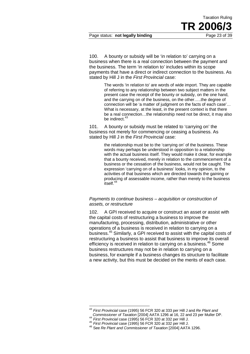Page status: **not legally binding** Page 23 of 39

100. A bounty or subsidy will be 'in relation to' carrying on a business when there is a real connection between the payment and the business. The term 'in relation to' includes within its scope payments that have a direct or indirect connection to the business. As stated by Hill J in the *First Provincial* case:

> The words 'in relation to' are words of wide import. They are capable of referring to any relationship between two subject matters in the present case the receipt of the bounty or subsidy, on the one hand, and the carrying on of the business, on the other…..the degree of connection will be 'a matter of judgment on the facts of each case'… What is necessary, at the least, in the present context is that there be a real connection…the relationship need not be direct, it may also be indirect.<sup>43</sup>

101. A bounty or subsidy must be related to 'carrying on' the business not merely for commencing or ceasing a business. As stated by Hill J in the *First Provincial* case:

> the relationship must be to the 'carrying on' of the business. These words may perhaps be understood in opposition to a relationship with the actual business itself. They would make it clear, for example that a bounty received, merely in relation to the commencement of a business or the cessation of the business, would not be caught. The expression 'carrying on of a business' looks, in my opinion, to the activities of that business which are directed towards the gaining or producing of assessable income, rather than merely to the business  $\frac{1}{15}$ itself.<sup>44</sup>

### *Payments to continue business – acquisition or construction of assets, or restructure*

102. A GPI received to acquire or construct an asset or assist with the capital costs of restructuring a business to improve the manufacturing, processing, distribution, administrative or other operations of a business is received in relation to carrying on a business.<sup>45</sup> Similarly, a GPI received to assist with the capital costs of restructuring a business to assist that business to improve its overall efficiency is received in relation to carrying on a business.<sup>46</sup> Some business restructures may not be in relation to carrying on a business, for example if a business changes its structure to facilitate a new activity, but this must be decided on the merits of each case.

<sup>43</sup> *First Provincial* case (1995) 56 FCR 320 at 333 per Hill J and *Re Plant and*   $\overline{a}$ 

Commissioner of Taxation [2004] AATA 1296 at 16, 22 and 23 per Muller DP.<br><sup>44</sup> First Provincial case (1995) 56 FCR 320 at 332 per Hill J.<br><sup>45</sup> First Provincial case (1995) 56 FCR 320 at 332 per Hill J.<br><sup>46</sup> See Re Plant an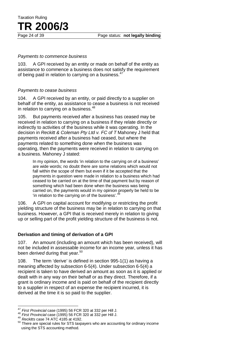### Page 24 of 39 Page status: **not legally binding**

### *Payments to commence business*

Taxation Ruling

**TR 2006/3**

103. A GPI received by an entity or made on behalf of the entity as assistance to commence a business does not satisfy the requirement of being paid in relation to carrying on a business.<sup>47</sup>

### *Payments to cease business*

104. A GPI received by an entity, or paid directly to a supplier on behalf of the entity, as assistance to cease a business is not received in relation to carrying on a business.<sup>48</sup>

105. But payments received after a business has ceased may be received in relation to carrying on a business if they relate directly or indirectly to activities of the business while it was operating. In the decision in *Reckitt & Coleman Pty Ltd v. FC of T* Mahoney J held that payments received after a business had ceased, but where the payments related to something done when the business was operating, then the payments were received in relation to carrying on a business. Mahoney J stated:

> In my opinion, the words 'in relation to the carrying on of a business' are wide words; no doubt there are some relations which would not fall within the scope of them but even if it be accepted that the payments in question were made in relation to a business which had ceased to be carried on at the time of that payment but by reason of something which had been done when the business was being carried on, the payments would in my opinion properly be held to be 'in relation to the carrying on of the business'. $49$

106. A GPI on capital account for modifying or restricting the profit yielding structure of the business may be in relation to carrying on that business. However, a GPI that is received merely in relation to giving up or selling part of the profit yielding structure of the business is not.

### **Derivation and timing of derivation of a GPI**

107. An amount (including an amount which has been received), will not be included in assessable income for an income year, unless it has been *derived* during that year.<sup>50</sup>

108. The term 'derive' is defined in section 995-1(1) as having a meaning affected by subsection 6-5(4). Under subsection 6-5(4) a recipient is taken to have derived an amount as soon as it is applied or dealt with in any way on their behalf or as they direct. Therefore, if a grant is ordinary income and is paid on behalf of the recipient directly to a supplier in respect of an expense the recipient incurred, it is derived at the time it is so paid to the supplier.

 $\overline{\phantom{a}}$ 

<sup>&</sup>lt;sup>47</sup> First Provincial case (1995) 56 FCR 320 at 332 per Hill J.<br><sup>48</sup> First Provincial case (1995) 56 FCR 320 at 332 per Hill J.<br><sup>49</sup> Reckitts case 74 ATC 4185 at 4192.<br><sup>50</sup> There are special rules for STS taxpayers who ar using the STS accounting method.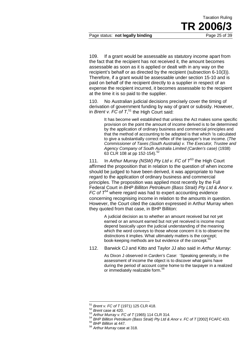Page status: **not legally binding** Page 25 of 39

109. If a grant would be assessable as statutory income apart from the fact that the recipient has not received it, the amount becomes assessable as soon as it is applied or dealt with in any way on the recipient's behalf or as directed by the recipient (subsection 6-10(3)). Therefore, if a grant would be assessable under section 15-10 and is paid on behalf of the recipient directly to a supplier in respect of an expense the recipient incurred, it becomes assessable to the recipient at the time it is so paid to the supplier.

110. No Australian judicial decisions precisely cover the timing of derivation of government funding by way of grant or subsidy. However, in *Brent v. FC of T*, <sup>51</sup> the High Court said:

> It has become well established that unless the Act makes some specific provision on the point the amount of income derived is to be determined by the application of ordinary business and commercial principles and that the method of accounting to be adopted is that which 'is calculated to give a substantially correct reflex of the taxpayer's true income. (*The Commissioner of Taxes (South Australia) v. The Executor, Trustee and Agency Company of South Australia Limited (Carden's case)* (1938) 63 CLR 108 at pp 152-154). 52

111. In *Arthur Murray (NSW) Pty Ltd v. FC of T*<sup>53</sup> the High Court affirmed the proposition that in relation to the question of when income should be judged to have been derived, it was appropriate to have regard to the application of ordinary business and commercial principles. The proposition was applied most recently by the Full Federal Court in *BHP Billiton Petroleum (Bass Strait) Pty Ltd & Anor v. FC of*  $T^{54}$  where regard was had to expert accounting evidence concerning recognising income in relation to the amounts in question. However, the Court cited the caution expressed in Arthur Murray when they quoted from that case, in BHP Billiton:

> A judicial decision as to whether an amount received but not yet earned or an amount earned but not yet received is income must depend basically upon the judicial understanding of the meaning which the word conveys to those whose concern it is to observe the distinctions it implies. What ultimately matters is the concept; book-keeping methods are but evidence of the concept.<sup>5</sup>

112. Barwick CJ and Kitto and Taylor JJ also said in *Arthur Murray*:

As Dixon J observed in *Carden's Case*: 'Speaking generally, in the assessment of income the object is to discover what gains have during the period of account come home to the taxpayer in a realized or immediately realizable form.<sup>56</sup>

<sup>51</sup> 

<sup>&</sup>lt;sup>51</sup> Brent v. FC of T (1971) 125 CLR 418.<br><sup>52</sup> Brent case at 420.<br><sup>53</sup> Arthur Murray v. FC of T (1965) 114 CLR 314.<br><sup>54</sup> BHP Billiton Petroleum (Bass Strait) Pty Ltd & Anor v. FC of T [2002] FCAFC 433.<br><sup>55</sup> BHP Billiton a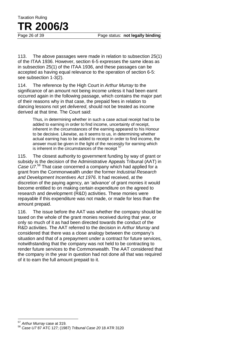113. The above passages were made in relation to subsection 25(1) of the ITAA 1936. However, section 6-5 expresses the same ideas as in subsection 25(1) of the ITAA 1936, and these passages can be accepted as having equal relevance to the operation of section 6-5: see subsection 1-3(2).

114. The reference by the High Court in *Arthur Murray* to the significance of an amount not being income unless it had been earnt occurred again in the following passage, which contains the major part of their reasons why in that case, the prepaid fees in relation to dancing lessons not yet *delivered*, should not be treated as income derived at that time. The Court said:

> Thus, in determining whether in such a case actual receipt had to be added to earning in order to find income, uncertainty of receipt, inherent in the circumstances of the earning appeared to his Honour to be decisive. Likewise, as it seems to us, in determining whether actual earning has to be added to receipt in order to find income, the answer must be given in the light of the necessity for earning which is inherent in the circumstances of the receipt  $5$

115. The closest authority to government funding by way of grant or subsidy is the decision of the Administrative Appeals Tribunal (AAT) in *Case U7*. <sup>58</sup> That case concerned a company which had applied for a grant from the Commonwealth under the former *Industrial Research and Development Incentives Act 1976*. It had received, at the discretion of the paying agency, an 'advance' of grant monies it would become entitled to on making certain expenditure on the agreed to research and development (R&D) activities. These monies were repayable if this expenditure was not made, or made for less than the amount prepaid.

116. The issue before the AAT was whether the company should be taxed on the whole of the grant monies received during that year, or only so much of it as had been directed towards the conduct of the R&D activities. The AAT referred to the decision in *Arthur Murray* and considered that there was a close analogy between the company's situation and that of a prepayment under a contract for future services, notwithstanding that the company was not held to be contracting to render future services to the Commonwealth. The AAT considered that the company in the year in question had not done all that was required of it to earn the full amount prepaid to it.

<sup>&</sup>lt;sup>57</sup> Arthur Murray case at 319.

<sup>57</sup> *Arthur Murray* case at 319. <sup>58</sup> *Case U7* 87 ATC 127; (1987) *Tribunal Case 20* 18 ATR 3120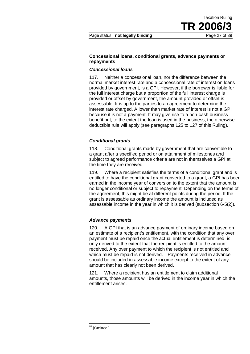### **Concessional loans, conditional grants, advance payments or repayments**

### *Concessional loans*

117. Neither a concessional loan, nor the difference between the normal market interest rate and a concessional rate of interest on loans provided by government, is a GPI. However, if the borrower is liable for the full interest charge but a proportion of the full interest charge is provided or offset by government, the amount provided or offset is assessable. It is up to the parties to an agreement to determine the interest rate charged. A lower than market rate of interest is not a GPI because it is not a payment. It may give rise to a non-cash business benefit but, to the extent the loan is used in the business, the otherwise deductible rule will apply (see paragraphs 125 to 127 of this Ruling).

### *Conditional grants*

118. Conditional grants made by government that are convertible to a grant after a specified period or on attainment of milestones and subject to agreed performance criteria are not in themselves a GPI at the time they are received.

119. Where a recipient satisfies the terms of a conditional grant and is entitled to have the conditional grant converted to a grant, a GPI has been earned in the income year of conversion to the extent that the amount is no longer conditional or subject to repayment. Depending on the terms of the agreement, this might be at different points during the period. If the grant is assessable as ordinary income the amount is included as assessable income in the year in which it is derived (subsection 6-5(2)).

### *Advance payments*

120. A GPI that is an advance payment of ordinary income based on an estimate of a recipient's entitlement, with the condition that any over payment must be repaid once the actual entitlement is determined, is only derived to the extent that the recipient is entitled to the amount received. Any over payment to which the recipient is not entitled and which must be repaid is not derived. Payments received in advance should be included in assessable income except to the extent of any amount that has clearly not been derived.

121. Where a recipient has an entitlement to claim additional amounts, those amounts will be derived in the income year in which the entitlement arises.

<sup>&</sup>lt;sup>59</sup> [Omitted.]  $\overline{\phantom{a}}$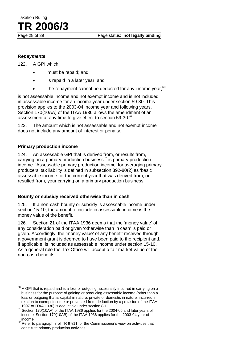# Taxation Ruling **TR 2006/3**

### *Repayments*

122. A GPI which:

- must be repaid; and
- is repaid in a later year; and
- the repayment cannot be deducted for any income year,  $60$

is not assessable income and not exempt income and is not included in assessable income for an income year under section 59-30. This provision applies to the 2003-04 income year and following years. Section 170(10AA) of the ITAA 1936 allows the amendment of an assessment at any time to give effect to section 59-30.<sup>61</sup>

123. The amount which is not assessable and not exempt income does not include any amount of interest or penalty.

### **Primary production income**

124. An assessable GPI that is derived from, or results from, carrying on a primary production business<sup>62</sup> is primary production income. 'Assessable primary production income' for averaging primary producers' tax liability is defined in subsection 392-80(2) as 'basic assessable income for the current year that was derived from, or resulted from, your carrying on a primary production business'.

### **Bounty or subsidy received otherwise than in cash**

125. If a non-cash bounty or subsidy is assessable income under section 15-10, the amount to include in assessable income is the money value of the benefit.

126. Section 21 of the ITAA 1936 deems that the 'money value' of any consideration paid or given 'otherwise than in cash' is paid or given. Accordingly, the 'money value' of any benefit received through a government grant is deemed to have been paid to the recipient and, if applicable, is included as assessable income under section 15-10. As a general rule the Tax Office will accept a fair market value of the non-cash benefits.

 $^{60}$  A GPI that is repaid and is a loss or outgoing necessarily incurred in carrying on a business for the purpose of gaining or producing assessable income (other than a loss or outgoing that is capital in nature, private or domestic in nature, incurred in relation to exempt income or prevented from deduction by a provision of the ITAA 1997 or ITAA 1936) is deductible under section 8-1.  $\overline{\phantom{a}}$ 

 $61$  Section 170(10AA) of the ITAA 1936 applies for the 2004-05 and later years of income. Section 170(10AB) of the ITAA 1936 applies for the 2003-04 year of

income.<br><sup>62</sup> Refer to paragraph 8 of TR 97/11 for the Commissioner's view on activities that constitute primary production activities.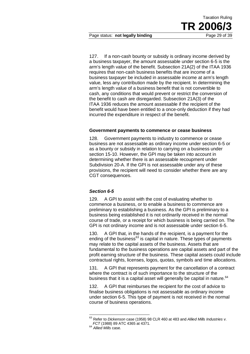Page status: **not legally binding** Page 29 of 39

127. If a non-cash bounty or subsidy is ordinary income derived by a business taxpayer, the amount assessable under section 6-5 is the arm's length value of the benefit. Subsection 21A(2) of the ITAA 1936 requires that non-cash business benefits that are income of a business taxpayer be included in assessable income at arm's length value, less any contribution made by the recipient. In determining the arm's length value of a business benefit that is not convertible to cash, any conditions that would prevent or restrict the conversion of the benefit to cash are disregarded. Subsection 21A(3) of the ITAA 1936 reduces the amount assessable if the recipient of the benefit would have been entitled to a once-only deduction if they had incurred the expenditure in respect of the benefit.

### **Government payments to commence or cease business**

128. Government payments to industry to commence or cease business are not assessable as ordinary income under section 6-5 or as a bounty or subsidy in relation to carrying on a business under section 15-10. However, the GPI may be taken into account in determining whether there is an assessable recoupment under Subdivision 20-A. If the GPI is not assessable under any of these provisions, the recipient will need to consider whether there are any CGT consequences.

### *Section 6-5*

129. A GPI to assist with the cost of evaluating whether to commence a business, or to enable a business to commence are preliminary to establishing a business. As the GPI is preliminary to a business being established it is not ordinarily received in the normal course of trade, or a receipt for which business is being carried on. The GPI is not ordinary income and is not assessable under section 6-5.

130. A GPI that, in the hands of the recipient, is a payment for the ending of the business $<sup>63</sup>$  is capital in nature. These types of payments</sup> may relate to the capital assets of the business. Assets that are fundamental to the business operations are capital assets and part of the profit earning structure of the business. These capital assets could include contractual rights, licenses, logos, quotas, symbols and time allocations.

131. A GPI that represents payment for the cancellation of a contract where the contract is of such importance to the structure of the business that it is a capital asset will generally be capital in nature.<sup>64</sup>

132. A GPI that reimburses the recipient for the cost of advice to finalise business obligations is not assessable as ordinary income under section 6-5. This type of payment is not received in the normal course of business operations.

<sup>63</sup> Refer to *Dickenson* case (1958) 98 CLR 460 at 483 and *Allied Mills Industries v. FCT* (1988) 89 ATC 4365 at 4371. 64 *Allied Mills* case.  $\overline{\phantom{a}}$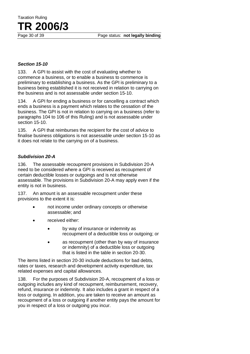Taxation Ruling **TR 2006/3**

### *Section 15-10*

133. A GPI to assist with the cost of evaluating whether to commence a business, or to enable a business to commence is preliminary to establishing a business. As the GPI is preliminary to a business being established it is not received in relation to carrying on the business and is not assessable under section 15-10.

134. A GPI for ending a business or for cancelling a contract which ends a business is a payment which relates to the cessation of the business. The GPI is not in relation to carrying on a business (refer to paragraphs 104 to 106 of this Ruling) and is not assessable under section 15-10.

135. A GPI that reimburses the recipient for the cost of advice to finalise business obligations is not assessable under section 15-10 as it does not relate to the carrying on of a business.

### *Subdivision 20-A*

136. The assessable recoupment provisions in Subdivision 20-A need to be considered where a GPI is received as recoupment of certain deductible losses or outgoings and is not otherwise assessable. The provisions in Subdivision 20-A may apply even if the entity is not in business.

137. An amount is an assessable recoupment under these provisions to the extent it is:

- not income under ordinary concepts or otherwise assessable; and
- received either:
	- by way of insurance or indemnity as recoupment of a deductible loss or outgoing; or
	- as recoupment (other than by way of insurance or indemnity) of a deductible loss or outgoing that is listed in the table in section 20-30.

The items listed in section 20-30 include deductions for bad debts, rates or taxes, research and development activity expenditure, tax related expenses and capital allowances.

138. For the purposes of Subdivision 20-A, recoupment of a loss or outgoing includes any kind of recoupment, reimbursement, recovery, refund, insurance or indemnity. It also includes a grant in respect of a loss or outgoing. In addition, you are taken to receive an amount as recoupment of a loss or outgoing if another entity pays the amount for you in respect of a loss or outgoing you incur.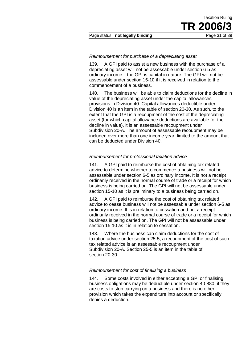### *Reimbursement for purchase of a depreciating asset*

139. A GPI paid to assist a new business with the purchase of a depreciating asset will not be assessable under section 6-5 as ordinary income if the GPI is capital in nature. The GPI will not be assessable under section 15-10 if it is received in relation to the commencement of a business.

140. The business will be able to claim deductions for the decline in value of the depreciating asset under the capital allowances provisions in Division 40. Capital allowances deductible under Division 40 is an item in the table of section 20-30. As such, to the extent that the GPI is a recoupment of the cost of the depreciating asset (for which capital allowance deductions are available for the decline in value), it is an assessable recoupment under Subdivision 20-A. The amount of assessable recoupment may be included over more than one income year, limited to the amount that can be deducted under Division 40.

### *Reimbursement for professional taxation advice*

141. A GPI paid to reimburse the cost of obtaining tax related advice to determine whether to commence a business will not be assessable under section 6-5 as ordinary income. It is not a receipt ordinarily received in the normal course of trade or a receipt for which business is being carried on. The GPI will not be assessable under section 15-10 as it is preliminary to a business being carried on.

142. A GPI paid to reimburse the cost of obtaining tax related advice to cease business will not be assessable under section 6-5 as ordinary income. It is in relation to cessation and not a receipt ordinarily received in the normal course of trade or a receipt for which business is being carried on. The GPI will not be assessable under section 15-10 as it is in relation to cessation.

143. Where the business can claim deductions for the cost of taxation advice under section 25-5, a recoupment of the cost of such tax related advice is an assessable recoupment under Subdivision 20-A. Section 25-5 is an item in the table of section 20-30.

### *Reimbursement for cost of finalising a business*

144. Some costs involved in either accepting a GPI or finalising business obligations may be deductible under section 40-880, if they are costs to stop carrying on a business and there is no other provision which takes the expenditure into account or specifically denies a deduction.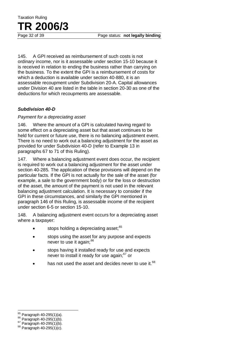145. A GPI received as reimbursement of such costs is not ordinary income, nor is it assessable under section 15-10 because it is received in relation to ending the business rather than carrying on the business. To the extent the GPI is a reimbursement of costs for which a deduction is available under section 40-880, it is an assessable recoupment under Subdivision 20-A. Capital allowances under Division 40 are listed in the table in section 20-30 as one of the deductions for which recoupments are assessable.

### *Subdivision 40-D*

### *Payment for a depreciating asset*

146. Where the amount of a GPI is calculated having regard to some effect on a depreciating asset but that asset continues to be held for current or future use, there is no balancing adjustment event. There is no need to work out a balancing adjustment for the asset as provided for under Subdivision 40-D (refer to Example 13 in paragraphs 67 to 71 of this Ruling).

147. Where a balancing adjustment event does occur, the recipient is required to work out a balancing adjustment for the asset under section 40-285. The application of these provisions will depend on the particular facts. If the GPI is not actually for the sale of the asset (for example, a sale to the government body) or for the loss or destruction of the asset, the amount of the payment is not used in the relevant balancing adjustment calculation. It is necessary to consider if the GPI in these circumstances, and similarly the GPI mentioned in paragraph 146 of this Ruling, is assessable income of the recipient under section 6-5 or section 15-10.

148. A balancing adjustment event occurs for a depreciating asset where a taxpayer:

- $\bullet$  stops holding a depreciating asset;  $65$
- stops using the asset for any purpose and expects never to use it again:<sup>66</sup>
- stops having it installed ready for use and expects never to install it ready for use again:<sup>67</sup> or
- has not used the asset and decides never to use it.<sup>68</sup>

<sup>65</sup> Paragraph 40-295(1)(a).

<sup>66</sup> Paragraph 40-295(1)(b).<br>
<sup>67</sup> Paragraph 40-295(1)(b).<br>
<sup>68</sup> Paragraph 40-295(1)(c).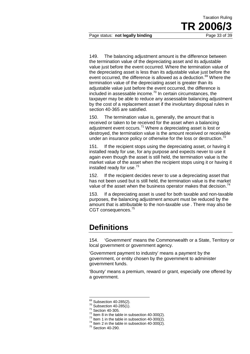149. The balancing adjustment amount is the difference between the termination value of the depreciating asset and its adjustable value just before the event occurred. Where the termination value of the depreciating asset is less than its adjustable value just before the event occurred, the difference is allowed as a deduction.<sup>69</sup> Where the termination value of the depreciating asset is greater than its adjustable value just before the event occurred, the difference is included in assessable income.<sup>70</sup> In certain circumstances, the taxpayer may be able to reduce any assessable balancing adjustment by the cost of a replacement asset if the involuntary disposal rules in section 40-365 are satisfied.

150. The termination value is, generally, the amount that is received or taken to be received for the asset when a balancing adjustment event occurs.<sup>71</sup> Where a depreciating asset is lost or destroyed, the termination value is the amount received or receivable under an insurance policy or otherwise for the loss or destruction.<sup>72</sup>

151. If the recipient stops using the depreciating asset, or having it installed ready for use, for any purpose and expects never to use it again even though the asset is still held, the termination value is the market value of the asset when the recipient stops using it or having it installed ready for use.<sup>73</sup>

152. If the recipient decides never to use a depreciating asset that has not been used but is still held, the termination value is the market value of the asset when the business operator makes that decision.<sup>74</sup>

153. If a depreciating asset is used for both taxable and non-taxable purposes, the balancing adjustment amount must be reduced by the amount that is attributable to the non-taxable use . There may also be CGT consequences.<sup>75</sup>

### **Definitions**

154. 'Government' means the Commonwealth or a State, Territory or local government or government agency.

'Government payment to industry' means a payment by the government, or entity chosen by the government to administer government funds.

'Bounty' means a premium, reward or grant, especially one offered by a government.

 $69$  Subsection 40-285(2).

<sup>&</sup>lt;sup>70</sup> Subsection 40-285(1).<br>
<sup>71</sup> Section 40-305.<br>
<sup>72</sup> Item 8 in the table in subsection 40-300(2).<br>
<sup>72</sup> Item 1 in the table in subsection 40-300(2).<br>
<sup>74</sup> Item 2 in the table in subsection 40-300(2).<br>
<sup>75</sup> Section 40-29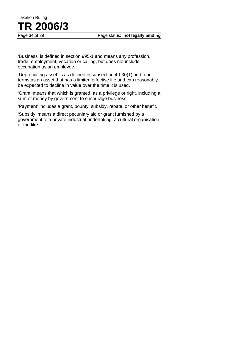

'Business' is defined in section 995-1 and means any profession, trade, employment, vocation or calling, but does not include occupation as an employee.

'Depreciating asset' is as defined in subsection 40-30(1), in broad terms as an asset that has a limited effective life and can reasonably be expected to decline in value over the time it is used.

'Grant' means that which is granted, as a privilege or right, including a sum of money by government to encourage business.

'Payment' includes a grant, bounty, subsidy, rebate, or other benefit.

'Subsidy' means a direct pecuniary aid or grant furnished by a government to a private industrial undertaking, a cultural organisation, or the like.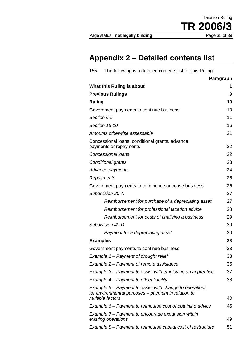# **Appendix 2 – Detailed contents list**

| The following is a detailed contents list for this Ruling:<br>155.                                                                 |           |  |
|------------------------------------------------------------------------------------------------------------------------------------|-----------|--|
|                                                                                                                                    | Paragraph |  |
| What this Ruling is about                                                                                                          | 1         |  |
| <b>Previous Rulings</b>                                                                                                            | 9         |  |
| <b>Ruling</b>                                                                                                                      | 10        |  |
| Government payments to continue business                                                                                           |           |  |
| Section 6-5                                                                                                                        |           |  |
| Section 15-10<br>16                                                                                                                |           |  |
| Amounts otherwise assessable                                                                                                       | 21        |  |
| Concessional loans, conditional grants, advance<br>payments or repayments                                                          | 22        |  |
| <b>Concessional loans</b>                                                                                                          | 22        |  |
| Conditional grants                                                                                                                 | 23        |  |
| Advance payments                                                                                                                   | 24        |  |
| Repayments                                                                                                                         | 25        |  |
| Government payments to commence or cease business                                                                                  | 26        |  |
| Subdivision 20-A                                                                                                                   | 27        |  |
| Reimbursement for purchase of a depreciating asset                                                                                 | 27        |  |
| Reimbursement for professional taxation advice                                                                                     | 28        |  |
| Reimbursement for costs of finalising a business                                                                                   | 29        |  |
| Subdivision 40-D                                                                                                                   | 30        |  |
| Payment for a depreciating asset                                                                                                   | 30        |  |
| <b>Examples</b>                                                                                                                    | 33        |  |
| Government payments to continue business                                                                                           | 33        |  |
| Example 1 – Payment of drought relief                                                                                              | 33        |  |
| Example 2 – Payment of remote assistance                                                                                           | 35        |  |
| Example 3 – Payment to assist with employing an apprentice                                                                         | 37        |  |
| Example 4 – Payment to offset liability                                                                                            | 38        |  |
| Example 5 – Payment to assist with change to operations<br>for environmental purposes – payment in relation to<br>multiple factors | 40        |  |
| Example 6 – Payment to reimburse cost of obtaining advice                                                                          | 46        |  |
| Example 7 – Payment to encourage expansion within<br>existing operations                                                           | 49        |  |
| Example 8 – Payment to reimburse capital cost of restructure                                                                       | 51        |  |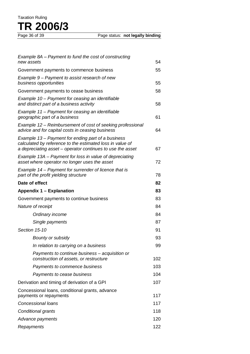# Taxation Ruling **TR 2006/3**

| Example 8A – Payment to fund the cost of constructing<br>new assets                                                                                                           | 54  |
|-------------------------------------------------------------------------------------------------------------------------------------------------------------------------------|-----|
| Government payments to commence business                                                                                                                                      | 55  |
| Example 9 – Payment to assist research of new<br>business opportunities                                                                                                       | 55  |
| Government payments to cease business                                                                                                                                         | 58  |
| Example 10 – Payment for ceasing an identifiable<br>and distinct part of a business activity                                                                                  | 58  |
| Example 11 – Payment for ceasing an identifiable<br>geographic part of a business                                                                                             | 61  |
| Example 12 – Reimbursement of cost of seeking professional<br>advice and for capital costs in ceasing business                                                                | 64  |
| Example 13 – Payment for ending part of a business<br>calculated by reference to the estimated loss in value of<br>a depreciating asset – operator continues to use the asset | 67  |
| Example 13A – Payment for loss in value of depreciating<br>asset where operator no longer uses the asset                                                                      | 72  |
| Example 14 – Payment for surrender of licence that is<br>part of the profit yielding structure                                                                                | 78  |
| Date of effect                                                                                                                                                                | 82  |
| Appendix 1 – Explanation                                                                                                                                                      | 83  |
| Government payments to continue business                                                                                                                                      | 83  |
| Nature of receipt                                                                                                                                                             | 84  |
| Ordinary income                                                                                                                                                               | 84  |
| Single payments                                                                                                                                                               | 87  |
| Section 15-10                                                                                                                                                                 | 91  |
| <b>Bounty or subsidy</b>                                                                                                                                                      | 93  |
| In relation to carrying on a business                                                                                                                                         | 99  |
| Payments to continue business – acquisition or<br>construction of assets, or restructure                                                                                      | 102 |
| Payments to commence business                                                                                                                                                 | 103 |
| Payments to cease business                                                                                                                                                    | 104 |
| Derivation and timing of derivation of a GPI                                                                                                                                  | 107 |
| Concessional loans, conditional grants, advance<br>payments or repayments                                                                                                     | 117 |
| <b>Concessional loans</b>                                                                                                                                                     | 117 |
| Conditional grants                                                                                                                                                            | 118 |
| Advance payments                                                                                                                                                              |     |
| Repayments                                                                                                                                                                    |     |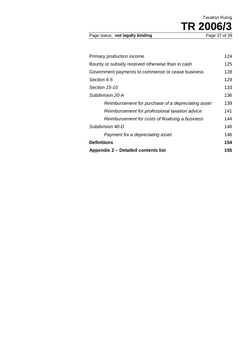Taxation Ruling **TR 2006/3** 

Page status: not legally binding

| Primary production income                          | 124  |
|----------------------------------------------------|------|
| Bounty or subsidy received otherwise than in cash  | 125  |
| Government payments to commence or cease business  | 128  |
| Section 6-5                                        | 129  |
| Section 15-10                                      | 133  |
| Subdivision 20-A                                   | 136  |
| Reimbursement for purchase of a depreciating asset | 139  |
| Reimbursement for professional taxation advice     | 141  |
| Reimbursement for costs of finalising a business   | 144  |
| Subdivision 40-D                                   | 146. |
| Payment for a depreciating asset                   | 146  |
| <b>Definitions</b>                                 | 154  |
| Appendix 2 – Detailed contents list                | 155  |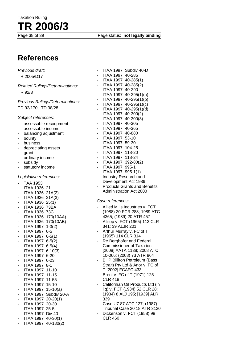Page status: **not legally binding** 

# **References**

| Previous draft:                                     | ITAA 1997 Subdiv 40-D                                       |
|-----------------------------------------------------|-------------------------------------------------------------|
| TR 2005/D17                                         | ITAA 1997 40-285                                            |
|                                                     | ITAA 1997 40-285(1)<br>$\qquad \qquad \blacksquare$         |
| Related Rulings/Determinations:                     | ITAA 1997 40-285(2)<br>$\blacksquare$                       |
| TR 92/3                                             | ITAA 1997 40-290<br>$\blacksquare$                          |
|                                                     | ITAA 1997 40-295(1)(a)<br>٠                                 |
| Previous Rulings/Determinations:                    | ITAA 1997 40-295(1)(b)<br>۰                                 |
|                                                     | ITAA 1997 40-295(1)(c)<br>$\qquad \qquad \blacksquare$      |
| TD 92/170; TD 98/28                                 | ITAA 1997 40-295(1)(d)<br>$\qquad \qquad \blacksquare$      |
|                                                     | ITAA 1997 40-300(2)<br>$\overline{\phantom{a}}$             |
| Subject references:                                 | ITAA 1997 40-300(3)<br>$\blacksquare$                       |
| assessable recoupment                               | ITAA 1997 40-305<br>ä,                                      |
| assessable income<br>$\overline{a}$                 | ITAA 1997 40-365<br>ä,                                      |
| balancing adjustment                                | ITAA 1997 40-880<br>ä,                                      |
| bounty<br>-                                         | ITAA 1997 53-10<br>$\overline{\phantom{a}}$                 |
| business<br>-                                       | ITAA 1997 59-30<br>$\blacksquare$                           |
| depreciating assets<br>۰                            | ITAA 1997 104-25<br>$\blacksquare$                          |
| grant<br>٠                                          | ITAA 1997 118-20<br>$\blacksquare$                          |
| ordinary income<br>۰                                | ITAA 1997 118-24<br>$\overline{\phantom{a}}$                |
| subsidy<br>-                                        | ITAA 1997 392-80(2)<br>$\blacksquare$                       |
| statutory income<br>-                               | ITAA 1997 995-1<br>$\overline{\phantom{a}}$                 |
|                                                     | ITAA 1997 995-1(1)<br>$\overline{\phantom{a}}$              |
| Legislative references:                             | Industry Research and                                       |
| <b>TAA 1953</b><br>-                                | Development Act 1986                                        |
| <b>ITAA 1936 21</b><br>$\overline{\phantom{a}}$     | <b>Products Grants and Benefits</b>                         |
| ITAA 1936 21A(2)<br>-                               | <b>Administration Act 2000</b>                              |
| ITAA 1936 21A(3)<br>۰                               |                                                             |
| ITAA 1936 25(1)<br>۰                                | Case references:                                            |
| <b>ITAA 1936 73BA</b><br>۰                          | Allied Mills Industries v. FCT                              |
| <b>ITAA 1936 73C</b><br>۰                           | (1988) 20 FCR 288; 1989 ATC                                 |
|                                                     |                                                             |
| ۰                                                   | 4365; (1989) 20 ATR 457                                     |
| ITAA 1936 170(10AA)                                 |                                                             |
| ITAA 1936 170(10AB)<br>۰                            | Allsop v. FCT (1965) 113 CLR                                |
| ITAA 1997 1-3(2)<br>۰                               | 341; 39 ALJR 201<br>٠                                       |
| ITAA 1997 6-5<br>-                                  | Arthur Murray v. FC of T                                    |
| ITAA 1997 6-5(1)<br>۰                               | (1965) 114 CLR 314<br>$\blacksquare$                        |
| ITAA 1997 6-5(2)<br>-                               | Re Berghofer and Federal<br><b>Commissioner of Taxation</b> |
| ITAA 1997 6-5(4)<br>$\overline{\phantom{a}}$        |                                                             |
| ITAA 1997 6-10(3)<br>۰                              | [2008] AATA 1138; 2008 ATC                                  |
| ITAA 1997 6-20<br>-                                 | 10-066; (2008) 73 ATR 964                                   |
| ITAA 1997 6-23<br>-                                 | <b>BHP Billiton Petroleum (Bass</b>                         |
| ITAA 1997 8-1<br>٠                                  | Strait) Pty Ltd & Anor v. FC of                             |
| ITAA 1997 11-10<br>-                                | T [2002] FCAFC 433                                          |
| ITAA 1997 11-15                                     | Brent v. FC of T (1971) 125                                 |
| ITAA 1997 11-55<br>۰                                | <b>CLR 418</b>                                              |
| ITAA 1997 15-10<br>٠                                | Californian Oil Products Ltd (in                            |
| ITAA 1997 15-10(a)<br>٠                             | liq) v. FCT (1934) 52 CLR 28;                               |
| ITAA 1997 Subdiv 20-A<br>٠                          | (1934) 8 ALJ 195; [1939] ALR                                |
| ITAA 1997 20-20(1)<br>۰                             | 339<br>۰                                                    |
| ITAA 1997 20-30<br>-                                | Case U7 87 ATC 127; (1987)                                  |
| ITAA 1997 25-5<br>-                                 | Tribunal Case 20 18 ATR 3120<br>۰                           |
| ITAA 1997 Div 40                                    | Dickenson v. FCT (1958) 98                                  |
| ITAA 1997 40-30(1)<br>-<br>ITAA 1997 40-180(2)<br>- | <b>CLR 460</b>                                              |